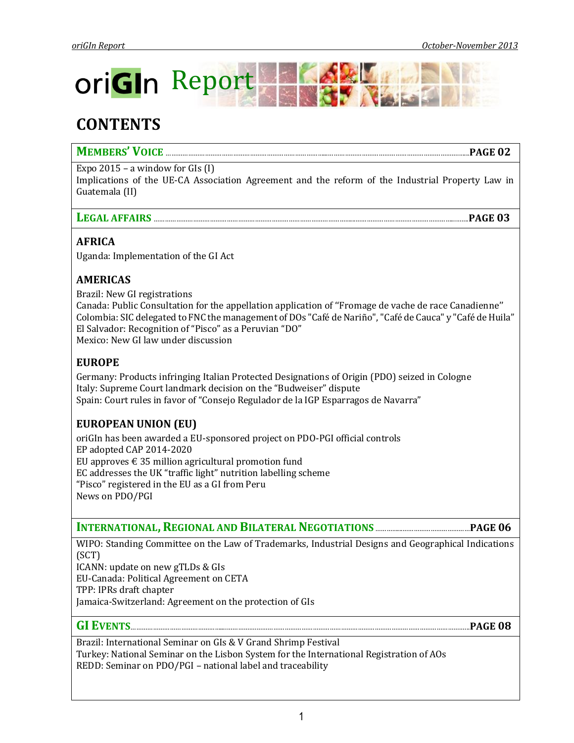

# **CONTENTS**

# **MEMBERS' VOICE** …………………………………………………………………………...…………………………………………………………….…...**PAGE 02**

Expo 2015 – a window for GIs  $(I)$ 

Implications of the UE-CA Association Agreement and the reform of the Industrial Property Law in Guatemala (II)

## **LEGAL AFFAIRS** ……………………………………………………………………………………………...……………………………………………...…….**PAGE 03**

## **AFRICA**

Uganda: Implementation of the GI Act

## **AMERICAS**

Brazil: New GI registrations Canada: Public Consultation for the appellation application of ''Fromage de vache de race Canadienne'' Colombia: SIC delegated to FNC the management of DOs "Café de Nariño", "Café de Cauca" y "Café de Huila" El Salvador: Recognition of "Pisco" as a Peruvian "DO" Mexico: New GI law under discussion

## **EUROPE**

Germany: Products infringing Italian Protected Designations of Origin (PDO) seized in Cologne Italy: Supreme Court landmark decision on the "Budweiser" dispute Spain: Court rules in favor of "Consejo Regulador de la IGP Esparragos de Navarra"

# **EUROPEAN UNION (EU)**

oriGIn has been awarded a EU-sponsored project on PDO-PGI official controls EP adopted CAP 2014-2020 EU approves  $\epsilon$  35 million agricultural promotion fund EC addresses the UK "traffic light" nutrition labelling scheme "Pisco" registered in the EU as a GI from Peru News on PDO/PGI

**INTERNATIONAL,REGIONAL AND BILATERAL NEGOTIATIONS** …………...………………………………**PAGE 06**

WIPO: Standing Committee on the Law of Trademarks, Industrial Designs and Geographical Indications (SCT)

ICANN: update on new gTLDs & GIs

EU-Canada: Political Agreement on CETA

TPP: IPRs draft chapter

Jamaica-Switzerland: Agreement on the protection of GIs

### **GI EVENTS**…………………………………………....…………….…………………………………………………………………………………………………...**PAGE 08**

Brazil: International Seminar on GIs & V Grand Shrimp Festival Turkey: National Seminar on the Lisbon System for the International Registration of AOs REDD: Seminar on PDO/PGI – national label and traceability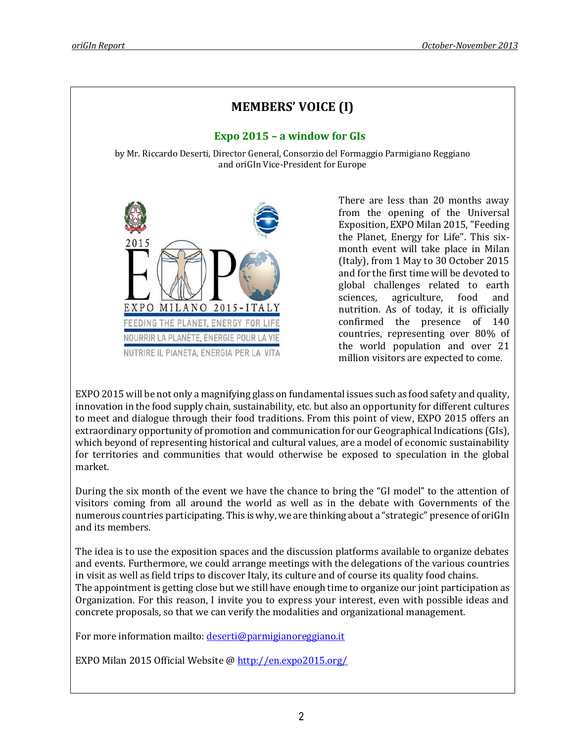

EXPO 2015 will be not only a magnifying glass on fundamental issues such as food safety and quality, innovation in the food supply chain, sustainability, etc. but also an opportunity for different cultures to meet and dialogue through their food traditions. From this point of view, EXPO 2015 offers an extraordinary opportunity of promotion and communication for our Geographical Indications (GIs), which beyond of representing historical and cultural values, are a model of economic sustainability for territories and communities that would otherwise be exposed to speculation in the global market.

During the six month of the event we have the chance to bring the "GI model" to the attention of visitors coming from all around the world as well as in the debate with Governments of the numerous countries participating. This is why, we are thinking about a "strategic" presence of oriGIn and its members.

The idea is to use the exposition spaces and the discussion platforms available to organize debates and events. Furthermore, we could arrange meetings with the delegations of the various countries in visit as well as field trips to discover Italy, its culture and of course its quality food chains. The appointment is getting close but we still have enough time to organize our joint participation as Organization. For this reason, I invite you to express your interest, even with possible ideas and concrete proposals, so that we can verify the modalities and organizational management.

For more information mailto[: deserti@parmigianoreggiano.it](mailto:deserti@parmigianoreggiano.it) 

EXPO Milan 2015 Official Website @<http://en.expo2015.org/>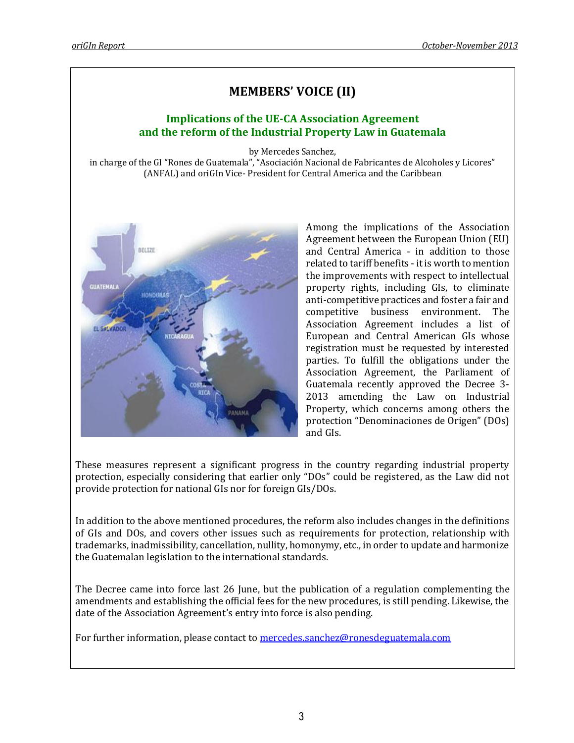# **MEMBERS' VOICE (II)**

# **Implications of the UE-CA Association Agreement and the reform of the Industrial Property Law in Guatemala**

by Mercedes Sanchez,

in charge of the GI "Rones de Guatemala", "Asociación Nacional de Fabricantes de Alcoholes y Licores" (ANFAL) and oriGIn Vice- President for Central America and the Caribbean



Among the implications of the Association Agreement between the European Union (EU) and Central America - in addition to those related to tariff benefits - it is worth to mention the improvements with respect to intellectual property rights, including GIs, to eliminate anti-competitive practices and foster a fair and competitive business environment. The Association Agreement includes a list of European and Central American GIs whose registration must be requested by interested parties. To fulfill the obligations under the Association Agreement, the Parliament of Guatemala recently approved the Decree 3- 2013 amending the Law on Industrial Property, which concerns among others the protection "Denominaciones de Origen" (DOs) and GIs.

These measures represent a significant progress in the country regarding industrial property protection, especially considering that earlier only "DOs" could be registered, as the Law did not provide protection for national GIs nor for foreign GIs/DOs.

In addition to the above mentioned procedures, the reform also includes changes in the definitions of GIs and DOs, and covers other issues such as requirements for protection, relationship with trademarks, inadmissibility, cancellation, nullity, homonymy, etc., in order to update and harmonize the Guatemalan legislation to the international standards.

The Decree came into force last 26 June, but the publication of a regulation complementing the amendments and establishing the official fees for the new procedures, is still pending. Likewise, the date of the Association Agreement's entry into force is also pending.

For further information, please contact t[o mercedes.sanchez@ronesdeguatemala.com](mailto:mercedes.sanchez@ronesdeguatemala.com)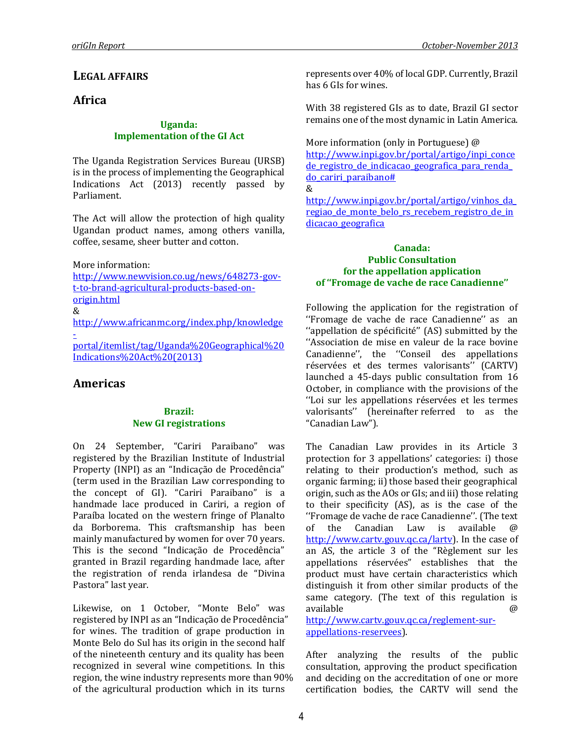# **LEGAL AFFAIRS**

### **Africa**

#### **Uganda: Implementation of the GI Act**

The Uganda Registration Services Bureau (URSB) is in the process of implementing the Geographical Indications Act (2013) recently passed by Parliament.

The Act will allow the protection of high quality Ugandan product names, among others vanilla, coffee, sesame, sheer butter and cotton.

More information:

[http://www.newvision.co.ug/news/648273-gov](http://www.newvision.co.ug/news/648273-gov-t-to-brand-agricultural-products-based-on-origin.html)[t-to-brand-agricultural-products-based-on](http://www.newvision.co.ug/news/648273-gov-t-to-brand-agricultural-products-based-on-origin.html)[origin.html](http://www.newvision.co.ug/news/648273-gov-t-to-brand-agricultural-products-based-on-origin.html)

&

[http://www.africanmc.org/index.php/knowledge](http://www.africanmc.org/index.php/knowledge-portal/itemlist/tag/Uganda%20Geographical%20Indications%20Act%20(2013)) [-](http://www.africanmc.org/index.php/knowledge-portal/itemlist/tag/Uganda%20Geographical%20Indications%20Act%20(2013))

[portal/itemlist/tag/Uganda%20Geographical%20](http://www.africanmc.org/index.php/knowledge-portal/itemlist/tag/Uganda%20Geographical%20Indications%20Act%20(2013)) [Indications%20Act%20\(2013\)](http://www.africanmc.org/index.php/knowledge-portal/itemlist/tag/Uganda%20Geographical%20Indications%20Act%20(2013))

## **Americas**

#### **Brazil: New GI registrations**

On 24 September, "Cariri Paraibano" was registered by the Brazilian Institute of Industrial Property (INPI) as an "Indicação de Procedência" (term used in the Brazilian Law corresponding to the concept of GI). "Cariri Paraibano" is a handmade lace produced in Cariri, a region of Paraíba located on the western fringe of Planalto da Borborema. This craftsmanship has been mainly manufactured by women for over 70 years. This is the second "Indicação de Procedência" granted in Brazil regarding handmade lace, after the registration of renda irlandesa de "Divina Pastora" last year.

Likewise, on 1 October, "Monte Belo" was registered by INPI as an "Indicação de Procedência" for wines. The tradition of grape production in Monte Belo do Sul has its origin in the second half of the nineteenth century and its quality has been recognized in several wine competitions. In this region, the wine industry represents more than 90% of the agricultural production which in its turns

represents over 40% of local GDP. Currently, Brazil has 6 GIs for wines.

With 38 registered GIs as to date, Brazil GI sector remains one of the most dynamic in Latin America.

More information (only in Portuguese) @ [http://www.inpi.gov.br/portal/artigo/inpi\\_conce](http://www.inpi.gov.br/portal/artigo/inpi_concede_registro_de_indicacao_geografica_para_renda_do_cariri_paraibano) de registro de indicacao geografica para renda [do\\_cariri\\_paraibano#](http://www.inpi.gov.br/portal/artigo/inpi_concede_registro_de_indicacao_geografica_para_renda_do_cariri_paraibano)

&

[http://www.inpi.gov.br/portal/artigo/vinhos\\_da\\_](http://www.inpi.gov.br/portal/artigo/vinhos_da_regiao_de_monte_belo_rs_recebem_registro_de_indicacao_geografica) regiao de monte belo rs recebem registro de in [dicacao\\_geografica](http://www.inpi.gov.br/portal/artigo/vinhos_da_regiao_de_monte_belo_rs_recebem_registro_de_indicacao_geografica)

### **Canada: Public Consultation for the appellation application of ''Fromage de vache de race Canadienne''**

Following the application for the registration of ''Fromage de vache de race Canadienne'' as an ''appellation de spécificité'' (AS) submitted by the ''Association de mise en valeur de la race bovine Canadienne'', the ''Conseil des appellations réservées et des termes valorisants'' (CARTV) launched a 45-days public consultation from 16 October, in compliance with the provisions of the ''Loi sur les appellations réservées et les termes valorisants'' (hereinafter referred to as the "Canadian Law").

The Canadian Law provides in its Article 3 protection for 3 appellations' categories: i) those relating to their production's method, such as organic farming; ii) those based their geographical origin, such as the AOs or GIs; and iii) those relating to their specificity (AS), as is the case of the ''Fromage de vache de race Canadienne''. (The text of the Canadian Law is available [http://www.cartv.gouv.qc.ca/lartv\)](http://www.cartv.gouv.qc.ca/lartv). In the case of an AS, the article 3 of the "Règlement sur les appellations réservées" establishes that the product must have certain characteristics which distinguish it from other similar products of the same category. (The text of this regulation is available @ [http://www.cartv.gouv.qc.ca/reglement-sur-](http://www.cartv.gouv.qc.ca/reglement-sur-appellations-reservees)

[appellations-reservees\)](http://www.cartv.gouv.qc.ca/reglement-sur-appellations-reservees).

After analyzing the results of the public consultation, approving the product specification and deciding on the accreditation of one or more certification bodies, the CARTV will send the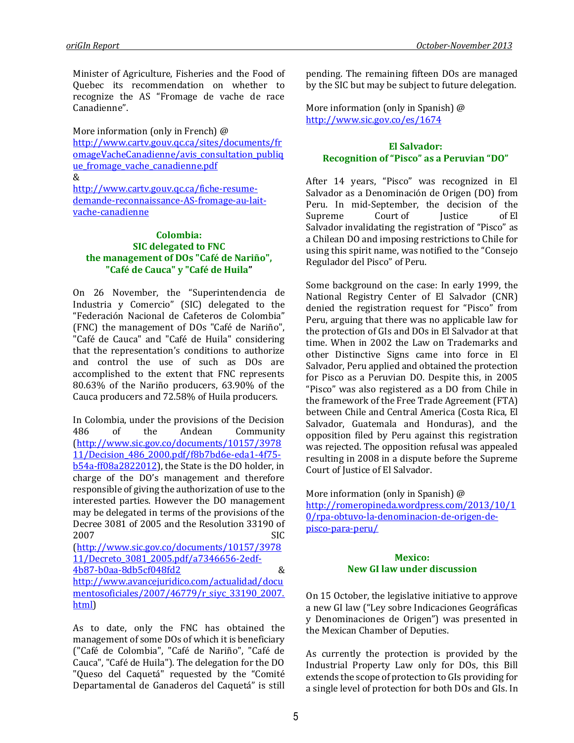Minister of Agriculture, Fisheries and the Food of Quebec its recommendation on whether to recognize the AS "Fromage de vache de race Canadienne".

More information (only in French) @ [http://www.cartv.gouv.qc.ca/sites/documents/fr](http://www.cartv.gouv.qc.ca/sites/documents/fromageVacheCanadienne/avis_consultation_publique_fromage_vache_canadienne.pdf) [omageVacheCanadienne/avis\\_consultation\\_publiq](http://www.cartv.gouv.qc.ca/sites/documents/fromageVacheCanadienne/avis_consultation_publique_fromage_vache_canadienne.pdf) ue fromage vache canadienne.pdf &

[http://www.cartv.gouv.qc.ca/fiche-resume](http://www.cartv.gouv.qc.ca/fiche-resume-demande-reconnaissance-AS-fromage-au-lait-vache-canadienne)[demande-reconnaissance-AS-fromage-au-lait](http://www.cartv.gouv.qc.ca/fiche-resume-demande-reconnaissance-AS-fromage-au-lait-vache-canadienne)[vache-canadienne](http://www.cartv.gouv.qc.ca/fiche-resume-demande-reconnaissance-AS-fromage-au-lait-vache-canadienne)

#### **Colombia: SIC delegated to FNC the management of DOs "Café de Nariño", "Café de Cauca" y "Café de Huila"**

On 26 November, the "Superintendencia de Industria y Comercio" (SIC) delegated to the "Federación Nacional de Cafeteros de Colombia" (FNC) the management of DOs "Café de Nariño", "Café de Cauca" and "Café de Huila" considering that the representation's conditions to authorize and control the use of such as DOs are accomplished to the extent that FNC represents 80.63% of the Nariño producers, 63.90% of the Cauca producers and 72.58% of Huila producers.

In Colombia, under the provisions of the Decision 486 of the Andean Community [\(http://www.sic.gov.co/documents/10157/3978](http://www.sic.gov.co/documents/10157/397811/Decision_486_2000.pdf/f8b7bd6e-eda1-4f75-b54a-ff08a2822012) [11/Decision\\_486\\_2000.pdf/f8b7bd6e-eda1-4f75](http://www.sic.gov.co/documents/10157/397811/Decision_486_2000.pdf/f8b7bd6e-eda1-4f75-b54a-ff08a2822012) [b54a-ff08a2822012\)](http://www.sic.gov.co/documents/10157/397811/Decision_486_2000.pdf/f8b7bd6e-eda1-4f75-b54a-ff08a2822012), the State is the DO holder, in charge of the DO's management and therefore responsible of giving the authorization of use to the interested parties. However the DO management may be delegated in terms of the provisions of the Decree 3081 of 2005 and the Resolution 33190 of 2007 SIC [\(http://www.sic.gov.co/documents/10157/3978](http://www.sic.gov.co/documents/10157/397811/Decreto_3081_2005.pdf/a7346656-2edf-4b87-b0aa-8db5cf048fd2) [11/Decreto\\_3081\\_2005.pdf/a7346656-2edf-](http://www.sic.gov.co/documents/10157/397811/Decreto_3081_2005.pdf/a7346656-2edf-4b87-b0aa-8db5cf048fd2)[4b87-b0aa-8db5cf048fd2](http://www.sic.gov.co/documents/10157/397811/Decreto_3081_2005.pdf/a7346656-2edf-4b87-b0aa-8db5cf048fd2) & [http://www.avancejuridico.com/actualidad/docu](http://www.avancejuridico.com/actualidad/documentosoficiales/2007/46779/r_siyc_33190_2007.html) [mentosoficiales/2007/46779/r\\_siyc\\_33190\\_2007.](http://www.avancejuridico.com/actualidad/documentosoficiales/2007/46779/r_siyc_33190_2007.html) [html\)](http://www.avancejuridico.com/actualidad/documentosoficiales/2007/46779/r_siyc_33190_2007.html)

As to date, only the FNC has obtained the management of some DOs of which it is beneficiary ("Café de Colombia", "Café de Nariño", "Café de Cauca", "Café de Huila"). The delegation for the DO "Queso del Caquetá" requested by the "Comité Departamental de Ganaderos del Caquetá" is still

pending. The remaining fifteen DOs are managed by the SIC but may be subject to future delegation.

More information (only in Spanish) @ <http://www.sic.gov.co/es/1674>

### **El Salvador: Recognition of "Pisco" as a Peruvian "DO"**

After 14 years, "Pisco" was recognized in El Salvador as a Denominación de Origen (DO) from Peru. In mid-September, the decision of the Supreme Court of Iustice of El Salvador invalidating the registration of "Pisco" as a Chilean DO and imposing restrictions to Chile for using this spirit name, was notified to the "Consejo Regulador del Pisco" of Peru.

Some background on the case: In early 1999, the National Registry Center of El Salvador (CNR) denied the registration request for "Pisco" from Peru, arguing that there was no applicable law for the protection of GIs and DOs in El Salvador at that time. When in 2002 the Law on Trademarks and other Distinctive Signs came into force in El Salvador, Peru applied and obtained the protection for Pisco as a Peruvian DO. Despite this, in 2005 "Pisco" was also registered as a DO from Chile in the framework of the Free Trade Agreement (FTA) between Chile and Central America (Costa Rica, El Salvador, Guatemala and Honduras), and the opposition filed by Peru against this registration was rejected. The opposition refusal was appealed resulting in 2008 in a dispute before the Supreme Court of Justice of El Salvador.

More information (only in Spanish) @ [http://romeropineda.wordpress.com/2013/10/1](http://romeropineda.wordpress.com/2013/10/10/rpa-obtuvo-la-denominacion-de-origen-de-pisco-para-peru/) [0/rpa-obtuvo-la-denominacion-de-origen-de](http://romeropineda.wordpress.com/2013/10/10/rpa-obtuvo-la-denominacion-de-origen-de-pisco-para-peru/)[pisco-para-peru/](http://romeropineda.wordpress.com/2013/10/10/rpa-obtuvo-la-denominacion-de-origen-de-pisco-para-peru/)

### **Mexico: New GI law under discussion**

On 15 October, the legislative initiative to approve a new GI law ("Ley sobre Indicaciones Geográficas y Denominaciones de Origen") was presented in the Mexican Chamber of Deputies.

As currently the protection is provided by the Industrial Property Law only for DOs, this Bill extends the scope of protection to GIs providing for a single level of protection for both DOs and GIs. In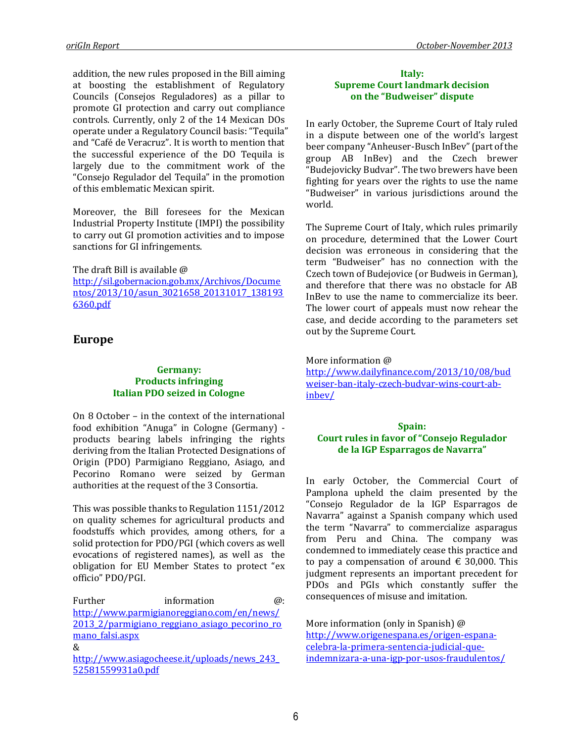addition, the new rules proposed in the Bill aiming at boosting the establishment of Regulatory Councils (Consejos Reguladores) as a pillar to promote GI protection and carry out compliance controls. Currently, only 2 of the 14 Mexican DOs operate under a Regulatory Council basis: "Tequila" and "Café de Veracruz". It is worth to mention that the successful experience of the DO Tequila is largely due to the commitment work of the "Consejo Regulador del Tequila" in the promotion of this emblematic Mexican spirit.

Moreover, the Bill foresees for the Mexican Industrial Property Institute (IMPI) the possibility to carry out GI promotion activities and to impose sanctions for GI infringements.

The draft Bill is available @

[http://sil.gobernacion.gob.mx/Archivos/Docume](http://sil.gobernacion.gob.mx/Archivos/Documentos/2013/10/asun_3021658_20131017_1381936360.pdf) [ntos/2013/10/asun\\_3021658\\_20131017\\_138193](http://sil.gobernacion.gob.mx/Archivos/Documentos/2013/10/asun_3021658_20131017_1381936360.pdf) [6360.pdf](http://sil.gobernacion.gob.mx/Archivos/Documentos/2013/10/asun_3021658_20131017_1381936360.pdf)

# **Europe**

#### **Germany: Products infringing Italian PDO seized in Cologne**

On 8 October – in the context of the international food exhibition "Anuga" in Cologne (Germany) products bearing labels infringing the rights deriving from the Italian Protected Designations of Origin (PDO) Parmigiano Reggiano, Asiago, and Pecorino Romano were seized by German authorities at the request of the 3 Consortia.

This was possible thanks to Regulation 1151/2012 on quality schemes for agricultural products and foodstuffs which provides, among others, for a solid protection for PDO/PGI (which covers as well evocations of registered names), as well as the obligation for EU Member States to protect "ex officio" PDO/PGI.

Further information  $\omega$ : [http://www.parmigianoreggiano.com/en/news/](http://www.parmigianoreggiano.com/en/news/2013_2/parmigiano_reggiano_asiago_pecorino_romano_falsi.aspx) [2013\\_2/parmigiano\\_reggiano\\_asiago\\_pecorino\\_ro](http://www.parmigianoreggiano.com/en/news/2013_2/parmigiano_reggiano_asiago_pecorino_romano_falsi.aspx) [mano\\_falsi.aspx](http://www.parmigianoreggiano.com/en/news/2013_2/parmigiano_reggiano_asiago_pecorino_romano_falsi.aspx) & [http://www.asiagocheese.it/uploads/news\\_243\\_](http://www.asiagocheese.it/uploads/news_243_52581559931a0.pdf) [52581559931a0.pdf](http://www.asiagocheese.it/uploads/news_243_52581559931a0.pdf)

#### **Italy: Supreme Court landmark decision on the "Budweiser" dispute**

In early October, the Supreme Court of Italy ruled in a dispute between one of the world's largest beer company "Anheuser-Busch InBev" (part of the group AB InBev) and the Czech brewer "Budejovicky Budvar". The two brewers have been fighting for years over the rights to use the name "Budweiser" in various jurisdictions around the world.

The Supreme Court of Italy, which rules primarily on procedure, determined that the Lower Court decision was erroneous in considering that the term "Budweiser" has no connection with the Czech town of Budejovice (or Budweis in German), and therefore that there was no obstacle for AB InBev to use the name to commercialize its beer. The lower court of appeals must now rehear the case, and decide according to the parameters set out by the Supreme Court.

### More information @

[http://www.dailyfinance.com/2013/10/08/bud](http://www.dailyfinance.com/2013/10/08/budweiser-ban-italy-czech-budvar-wins-court-ab-inbev/) [weiser-ban-italy-czech-budvar-wins-court-ab](http://www.dailyfinance.com/2013/10/08/budweiser-ban-italy-czech-budvar-wins-court-ab-inbev/)[inbev/](http://www.dailyfinance.com/2013/10/08/budweiser-ban-italy-czech-budvar-wins-court-ab-inbev/)

### **Spain: Court rules in favor of "Consejo Regulador de la IGP Esparragos de Navarra"**

In early October, the Commercial Court of Pamplona upheld the claim presented by the "Consejo Regulador de la IGP Esparragos de Navarra" against a Spanish company which used the term "Navarra" to commercialize asparagus from Peru and China. The company was condemned to immediately cease this practice and to pay a compensation of around  $\epsilon$  30,000. This judgment represents an important precedent for PDOs and PGIs which constantly suffer the consequences of misuse and imitation.

More information (only in Spanish) @ [http://www.origenespana.es/origen-espana](http://www.origenespana.es/origen-espana-celebra-la-primera-sentencia-judicial-que-indemnizara-a-una-igp-por-usos-fraudulentos/)[celebra-la-primera-sentencia-judicial-que](http://www.origenespana.es/origen-espana-celebra-la-primera-sentencia-judicial-que-indemnizara-a-una-igp-por-usos-fraudulentos/)[indemnizara-a-una-igp-por-usos-fraudulentos/](http://www.origenespana.es/origen-espana-celebra-la-primera-sentencia-judicial-que-indemnizara-a-una-igp-por-usos-fraudulentos/)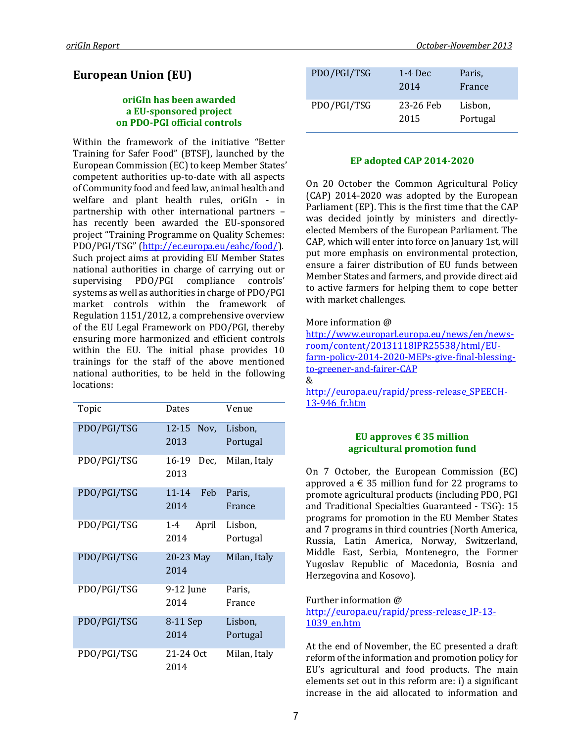# **European Union (EU)**

#### **oriGIn has been awarded a EU-sponsored project on PDO-PGI official controls**

Within the framework of the initiative "Better Training for Safer Food" (BTSF), launched by the European Commission (EC) to keep Member States' competent authorities up-to-date with all aspects of Community food and feed law, animal health and welfare and plant health rules, oriGIn - in partnership with other international partners – has recently been awarded the EU-sponsored project "Training Programme on Quality Schemes: PDO/PGI/TSG" ([http://ec.europa.eu/eahc/food/\)](http://ec.europa.eu/eahc/food/). Such project aims at providing EU Member States national authorities in charge of carrying out or supervising PDO/PGI compliance controls' systems as well as authorities in charge of PDO/PGI market controls within the framework of Regulation 1151/2012, a comprehensive overview of the EU Legal Framework on PDO/PGI, thereby ensuring more harmonized and efficient controls within the EU. The initial phase provides 10 trainings for the staff of the above mentioned national authorities, to be held in the following locations:

| Topic       | Dates                   | Venue        |
|-------------|-------------------------|--------------|
| PDO/PGI/TSG | $12 - 15$<br>Nov,       | Lisbon,      |
|             | 2013                    | Portugal     |
| PDO/PGI/TSG | 16-19<br>Dec.           | Milan, Italy |
|             | 2013                    |              |
| PDO/PGI/TSG | $11 - 14$<br><b>Feb</b> | Paris.       |
|             | 2014                    | France       |
| PDO/PGI/TSG | April<br>$1 - 4$        | Lisbon,      |
|             | 2014                    | Portugal     |
| PDO/PGI/TSG | 20-23 May               | Milan, Italy |
|             | 2014                    |              |
| PDO/PGI/TSG | 9-12 June               | Paris,       |
|             | 2014                    | France       |
| PDO/PGI/TSG | 8-11 Sep                | Lisbon,      |
|             | 2014                    | Portugal     |
| PDO/PGI/TSG | 21-24 Oct               | Milan, Italy |
|             | 2014                    |              |

| PDO/PGI/TSG | $1-4$ Dec<br>2014 | Paris,<br>France    |
|-------------|-------------------|---------------------|
| PDO/PGI/TSG | 23-26 Feb<br>2015 | Lisbon,<br>Portugal |

### **EP adopted CAP 2014-2020**

On 20 October the Common Agricultural Policy (CAP) 2014-2020 was adopted by the European Parliament (EP). This is the first time that the CAP was decided jointly by ministers and directlyelected Members of the European Parliament. The CAP, which will enter into force on January 1st, will put more emphasis on environmental protection, ensure a fairer distribution of EU funds between Member States and farmers, and provide direct aid to active farmers for helping them to cope better with market challenges.

More information @

[http://www.europarl.europa.eu/news/en/news](http://www.europarl.europa.eu/news/en/news-room/content/20131118IPR25538/html/EU-farm-policy-2014-2020-MEPs-give-final-blessing-to-greener-and-fairer-CAP)[room/content/20131118IPR25538/html/EU](http://www.europarl.europa.eu/news/en/news-room/content/20131118IPR25538/html/EU-farm-policy-2014-2020-MEPs-give-final-blessing-to-greener-and-fairer-CAP)[farm-policy-2014-2020-MEPs-give-final-blessing](http://www.europarl.europa.eu/news/en/news-room/content/20131118IPR25538/html/EU-farm-policy-2014-2020-MEPs-give-final-blessing-to-greener-and-fairer-CAP)[to-greener-and-fairer-CAP](http://www.europarl.europa.eu/news/en/news-room/content/20131118IPR25538/html/EU-farm-policy-2014-2020-MEPs-give-final-blessing-to-greener-and-fairer-CAP) &

[http://europa.eu/rapid/press-release\\_SPEECH-](http://europa.eu/rapid/press-release_SPEECH-13-946_fr.htm)[13-946\\_fr.htm](http://europa.eu/rapid/press-release_SPEECH-13-946_fr.htm)

#### **[EU approves € 35 million](http://www.farminguk.com/News/EU-approves-35m-agricultural-promotion-fund_26774.html) [agricultural promotion fund](http://www.farminguk.com/News/EU-approves-35m-agricultural-promotion-fund_26774.html)**

On 7 October, the European Commission (EC) approved a  $\epsilon$  35 million fund for 22 programs to promote agricultural products (including PDO, PGI and Traditional Specialties Guaranteed - TSG): 15 programs for promotion in the EU Member States and 7 programs in third countries (North America, Russia, Latin America, Norway, Switzerland, Middle East, Serbia, Montenegro, the Former Yugoslav Republic of Macedonia, Bosnia and Herzegovina and Kosovo).

Further information @

[http://europa.eu/rapid/press-release\\_IP-13-](http://europa.eu/rapid/press-release_IP-13-1039_en.htm) [1039\\_en.htm](http://europa.eu/rapid/press-release_IP-13-1039_en.htm)

At the end of November, the EC presented a draft reform of the information and promotion policy for EU's agricultural and food products. The main elements set out in this reform are: i) a significant increase in the aid allocated to information and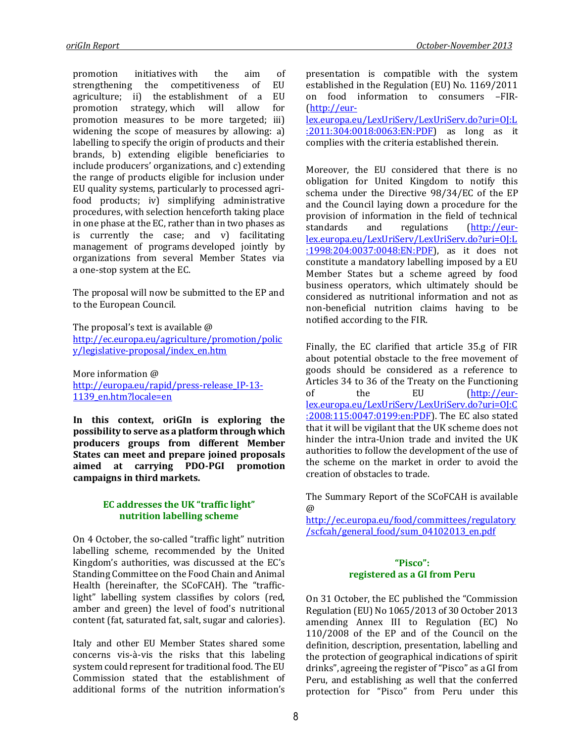promotion initiatives with the aim of strengthening the competitiveness of EU agriculture; ii) the establishment of a EU promotion strategy, which will allow for promotion measures to be more targeted; iii) widening the scope of measures by allowing: a) labelling to specify the origin of products and their brands, b) extending eligible beneficiaries to include producers' organizations, and c) extending the range of products eligible for inclusion under EU quality systems, particularly to processed agrifood products; iv) simplifying administrative procedures, with selection henceforth taking place in one phase at the EC, rather than in two phases as is currently the case; and v) facilitating management of programs developed jointly by organizations from several Member States via a one-stop system at the EC.

The proposal will now be submitted to the EP and to the European Council.

The proposal's text is available @ [http://ec.europa.eu/agriculture/promotion/polic](http://ec.europa.eu/agriculture/promotion/policy/legislative-proposal/index_en.htm) [y/legislative-proposal/index\\_en.htm](http://ec.europa.eu/agriculture/promotion/policy/legislative-proposal/index_en.htm)

More information @ [http://europa.eu/rapid/press-release\\_IP-13-](http://europa.eu/rapid/press-release_IP-13-1139_en.htm?locale=en) [1139\\_en.htm?locale=en](http://europa.eu/rapid/press-release_IP-13-1139_en.htm?locale=en)

**In this context, oriGIn is exploring the possibility to serve as a platform through which producers groups from different Member States can meet and prepare joined proposals aimed at carrying PDO-PGI promotion campaigns in third markets.** 

### **EC addresses the UK "traffic light" nutrition labelling scheme**

On 4 October, the so-called "traffic light" nutrition labelling scheme, recommended by the United Kingdom's authorities, was discussed at the EC's Standing Committee on the Food Chain and Animal Health (hereinafter, the SCoFCAH). The "trafficlight" labelling system classifies by colors (red, amber and green) the level of food's nutritional content (fat, saturated fat, salt, sugar and calories).

Italy and other EU Member States shared some concerns vis-à-vis the risks that this labeling system could represent for traditional food. The EU Commission stated that the establishment of additional forms of the nutrition information's presentation is compatible with the system established in the Regulation (EU) No. 1169/2011 on food information to consumers –FIR- [\(http://eur-](http://eur-lex.europa.eu/LexUriServ/LexUriServ.do?uri=OJ:L:2011:304:0018:0063:EN:PDF)

[lex.europa.eu/LexUriServ/LexUriServ.do?uri=OJ:L](http://eur-lex.europa.eu/LexUriServ/LexUriServ.do?uri=OJ:L:2011:304:0018:0063:EN:PDF) [:2011:304:0018:0063:EN:PDF\)](http://eur-lex.europa.eu/LexUriServ/LexUriServ.do?uri=OJ:L:2011:304:0018:0063:EN:PDF) as long as it complies with the criteria established therein.

Moreover, the EU considered that there is no obligation for United Kingdom to notify this schema under the Directive 98/34/EC of the EP and the Council laying down a procedure for the provision of information in the field of technical standards and regulations [\(http://eur](http://eur-lex.europa.eu/LexUriServ/LexUriServ.do?uri=OJ:L:1998:204:0037:0048:EN:PDF)[lex.europa.eu/LexUriServ/LexUriServ.do?uri=OJ:L](http://eur-lex.europa.eu/LexUriServ/LexUriServ.do?uri=OJ:L:1998:204:0037:0048:EN:PDF) [:1998:204:0037:0048:EN:PDF\)](http://eur-lex.europa.eu/LexUriServ/LexUriServ.do?uri=OJ:L:1998:204:0037:0048:EN:PDF), as it does not constitute a mandatory labelling imposed by a EU Member States but a scheme agreed by food business operators, which ultimately should be considered as nutritional information and not as non-beneficial nutrition claims having to be notified according to the FIR.

Finally, the EC clarified that article 35.g of FIR about potential obstacle to the free movement of goods should be considered as a reference to Articles 34 to 36 of the Treaty on the Functioning of the EU [\(http://eur](http://eur-lex.europa.eu/LexUriServ/LexUriServ.do?uri=OJ:C:2008:115:0047:0199:en:PDF)[lex.europa.eu/LexUriServ/LexUriServ.do?uri=OJ:C](http://eur-lex.europa.eu/LexUriServ/LexUriServ.do?uri=OJ:C:2008:115:0047:0199:en:PDF) [:2008:115:0047:0199:en:PDF\)](http://eur-lex.europa.eu/LexUriServ/LexUriServ.do?uri=OJ:C:2008:115:0047:0199:en:PDF). The EC also stated that it will be vigilant that the UK scheme does not hinder the intra-Union trade and invited the UK authorities to follow the development of the use of the scheme on the market in order to avoid the creation of obstacles to trade.

The Summary Report of the SCoFCAH is available @

[http://ec.europa.eu/food/committees/regulatory](http://ec.europa.eu/food/committees/regulatory/scfcah/general_food/sum_04102013_en.pdf) [/scfcah/general\\_food/sum\\_04102013\\_en.pdf](http://ec.europa.eu/food/committees/regulatory/scfcah/general_food/sum_04102013_en.pdf)

#### **"Pisco": registered as a GI from Peru**

On 31 October, the EC published the "Commission Regulation (EU) No 1065/2013 of 30 October 2013 amending Annex III to Regulation (EC) No 110/2008 of the EP and of the Council on the definition, description, presentation, labelling and the protection of geographical indications of spirit drinks", agreeing the register of "Pisco" as a GI from Peru, and establishing as well that the conferred protection for "Pisco" from Peru under this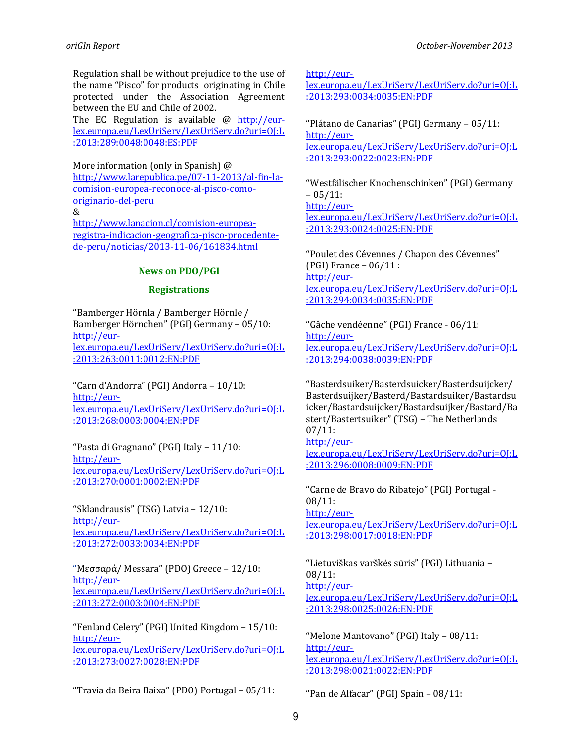Regulation shall be without prejudice to the use of the name "Pisco" for products originating in Chile protected under the Association Agreement between the EU and Chile of 2002.

The EC Regulation is available  $\omega$  [http://eur](http://eur-lex.europa.eu/LexUriServ/LexUriServ.do?uri=OJ:L:2013:289:0048:0048:ES:PDF)[lex.europa.eu/LexUriServ/LexUriServ.do?uri=OJ:L](http://eur-lex.europa.eu/LexUriServ/LexUriServ.do?uri=OJ:L:2013:289:0048:0048:ES:PDF) [:2013:289:0048:0048:ES:PDF](http://eur-lex.europa.eu/LexUriServ/LexUriServ.do?uri=OJ:L:2013:289:0048:0048:ES:PDF)

More information (only in Spanish) @ [http://www.larepublica.pe/07-11-2013/al-fin-la](http://www.larepublica.pe/07-11-2013/al-fin-la-comision-europea-reconoce-al-pisco-como-originario-del-peru)[comision-europea-reconoce-al-pisco-como](http://www.larepublica.pe/07-11-2013/al-fin-la-comision-europea-reconoce-al-pisco-como-originario-del-peru)[originario-del-peru](http://www.larepublica.pe/07-11-2013/al-fin-la-comision-europea-reconoce-al-pisco-como-originario-del-peru) & [http://www.lanacion.cl/comision-europea-](http://www.lanacion.cl/comision-europea-registra-indicacion-geografica-pisco-procedente-de-peru/noticias/2013-11-06/161834.html)

[registra-indicacion-geografica-pisco-procedente](http://www.lanacion.cl/comision-europea-registra-indicacion-geografica-pisco-procedente-de-peru/noticias/2013-11-06/161834.html)[de-peru/noticias/2013-11-06/161834.html](http://www.lanacion.cl/comision-europea-registra-indicacion-geografica-pisco-procedente-de-peru/noticias/2013-11-06/161834.html)

### **News on PDO/PGI**

### **Registrations**

"Bamberger Hörnla / Bamberger Hörnle / Bamberger Hörnchen" (PGI) Germany – 05/10: [http://eur](http://eur-lex.europa.eu/LexUriServ/LexUriServ.do?uri=OJ:L:2013:263:0011:0012:EN:PDF)[lex.europa.eu/LexUriServ/LexUriServ.do?uri=OJ:L](http://eur-lex.europa.eu/LexUriServ/LexUriServ.do?uri=OJ:L:2013:263:0011:0012:EN:PDF) [:2013:263:0011:0012:EN:PDF](http://eur-lex.europa.eu/LexUriServ/LexUriServ.do?uri=OJ:L:2013:263:0011:0012:EN:PDF)

"Carn d'Andorra" (PGI) Andorra – 10/10: [http://eur](http://eur-lex.europa.eu/LexUriServ/LexUriServ.do?uri=OJ:L:2013:268:0003:0004:EN:PDF)[lex.europa.eu/LexUriServ/LexUriServ.do?uri=OJ:L](http://eur-lex.europa.eu/LexUriServ/LexUriServ.do?uri=OJ:L:2013:268:0003:0004:EN:PDF) [:2013:268:0003:0004:EN:PDF](http://eur-lex.europa.eu/LexUriServ/LexUriServ.do?uri=OJ:L:2013:268:0003:0004:EN:PDF)

"Pasta di Gragnano" (PGI) Italy – 11/10: [http://eur](http://eur-lex.europa.eu/LexUriServ/LexUriServ.do?uri=OJ:L:2013:270:0001:0002:EN:PDF)[lex.europa.eu/LexUriServ/LexUriServ.do?uri=OJ:L](http://eur-lex.europa.eu/LexUriServ/LexUriServ.do?uri=OJ:L:2013:270:0001:0002:EN:PDF) [:2013:270:0001:0002:EN:PDF](http://eur-lex.europa.eu/LexUriServ/LexUriServ.do?uri=OJ:L:2013:270:0001:0002:EN:PDF)

"Sklandrausis" (TSG) Latvia – 12/10: [http://eur](http://eur-lex.europa.eu/LexUriServ/LexUriServ.do?uri=OJ:L:2013:272:0033:0034:EN:PDF)[lex.europa.eu/LexUriServ/LexUriServ.do?uri=OJ:L](http://eur-lex.europa.eu/LexUriServ/LexUriServ.do?uri=OJ:L:2013:272:0033:0034:EN:PDF) [:2013:272:0033:0034:EN:PDF](http://eur-lex.europa.eu/LexUriServ/LexUriServ.do?uri=OJ:L:2013:272:0033:0034:EN:PDF)

"Μεσσαρά/ Messara" (PDO) Greece – 12/10: [http://eur](http://eur-lex.europa.eu/LexUriServ/LexUriServ.do?uri=OJ:L:2013:272:0003:0004:EN:PDF)[lex.europa.eu/LexUriServ/LexUriServ.do?uri=OJ:L](http://eur-lex.europa.eu/LexUriServ/LexUriServ.do?uri=OJ:L:2013:272:0003:0004:EN:PDF) [:2013:272:0003:0004:EN:PDF](http://eur-lex.europa.eu/LexUriServ/LexUriServ.do?uri=OJ:L:2013:272:0003:0004:EN:PDF)

"Fenland Celery" (PGI) United Kingdom – 15/10: [http://eur](http://eur-lex.europa.eu/LexUriServ/LexUriServ.do?uri=OJ:L:2013:273:0027:0028:EN:PDF)[lex.europa.eu/LexUriServ/LexUriServ.do?uri=OJ:L](http://eur-lex.europa.eu/LexUriServ/LexUriServ.do?uri=OJ:L:2013:273:0027:0028:EN:PDF) [:2013:273:0027:0028:EN:PDF](http://eur-lex.europa.eu/LexUriServ/LexUriServ.do?uri=OJ:L:2013:273:0027:0028:EN:PDF)

"Travia da Beira Baixa" (PDO) Portugal – 05/11:

[http://eur-](http://eur-lex.europa.eu/LexUriServ/LexUriServ.do?uri=OJ:L:2013:293:0034:0035:EN:PDF)

[lex.europa.eu/LexUriServ/LexUriServ.do?uri=OJ:L](http://eur-lex.europa.eu/LexUriServ/LexUriServ.do?uri=OJ:L:2013:293:0034:0035:EN:PDF) [:2013:293:0034:0035:EN:PDF](http://eur-lex.europa.eu/LexUriServ/LexUriServ.do?uri=OJ:L:2013:293:0034:0035:EN:PDF)

"Plátano de Canarias" (PGI) Germany – 05/11: [http://eur](http://eur-lex.europa.eu/LexUriServ/LexUriServ.do?uri=OJ:L:2013:293:0022:0023:EN:PDF)[lex.europa.eu/LexUriServ/LexUriServ.do?uri=OJ:L](http://eur-lex.europa.eu/LexUriServ/LexUriServ.do?uri=OJ:L:2013:293:0022:0023:EN:PDF) [:2013:293:0022:0023:EN:PDF](http://eur-lex.europa.eu/LexUriServ/LexUriServ.do?uri=OJ:L:2013:293:0022:0023:EN:PDF)

"Westfälischer Knochenschinken" (PGI) Germany  $-05/11:$ [http://eur-](http://eur-lex.europa.eu/LexUriServ/LexUriServ.do?uri=OJ:L:2013:293:0024:0025:EN:PDF)

[lex.europa.eu/LexUriServ/LexUriServ.do?uri=OJ:L](http://eur-lex.europa.eu/LexUriServ/LexUriServ.do?uri=OJ:L:2013:293:0024:0025:EN:PDF) [:2013:293:0024:0025:EN:PDF](http://eur-lex.europa.eu/LexUriServ/LexUriServ.do?uri=OJ:L:2013:293:0024:0025:EN:PDF)

"Poulet des Cévennes / Chapon des Cévennes" (PGI) France – 06/11 : [http://eur](http://eur-lex.europa.eu/LexUriServ/LexUriServ.do?uri=OJ:L:2013:294:0034:0035:EN:PDF)[lex.europa.eu/LexUriServ/LexUriServ.do?uri=OJ:L](http://eur-lex.europa.eu/LexUriServ/LexUriServ.do?uri=OJ:L:2013:294:0034:0035:EN:PDF) [:2013:294:0034:0035:EN:PDF](http://eur-lex.europa.eu/LexUriServ/LexUriServ.do?uri=OJ:L:2013:294:0034:0035:EN:PDF)

"Gâche vendéenne" (PGI) France - 06/11: [http://eur](http://eur-lex.europa.eu/LexUriServ/LexUriServ.do?uri=OJ:L:2013:294:0038:0039:EN:PDF)[lex.europa.eu/LexUriServ/LexUriServ.do?uri=OJ:L](http://eur-lex.europa.eu/LexUriServ/LexUriServ.do?uri=OJ:L:2013:294:0038:0039:EN:PDF) [:2013:294:0038:0039:EN:PDF](http://eur-lex.europa.eu/LexUriServ/LexUriServ.do?uri=OJ:L:2013:294:0038:0039:EN:PDF)

"Basterdsuiker/Basterdsuicker/Basterdsuijcker/ Basterdsuijker/Basterd/Bastardsuiker/Bastardsu icker/Bastardsuijcker/Bastardsuijker/Bastard/Ba stert/Bastertsuiker" (TSG) – The Netherlands 07/11:

### [http://eur-](http://eur-lex.europa.eu/LexUriServ/LexUriServ.do?uri=OJ:L:2013:296:0008:0009:EN:PDF)

[lex.europa.eu/LexUriServ/LexUriServ.do?uri=OJ:L](http://eur-lex.europa.eu/LexUriServ/LexUriServ.do?uri=OJ:L:2013:296:0008:0009:EN:PDF) [:2013:296:0008:0009:EN:PDF](http://eur-lex.europa.eu/LexUriServ/LexUriServ.do?uri=OJ:L:2013:296:0008:0009:EN:PDF)

"Carne de Bravo do Ribatejo" (PGI) Portugal - 08/11: [http://eur](http://eur-lex.europa.eu/LexUriServ/LexUriServ.do?uri=OJ:L:2013:298:0017:0018:EN:PDF)[lex.europa.eu/LexUriServ/LexUriServ.do?uri=OJ:L](http://eur-lex.europa.eu/LexUriServ/LexUriServ.do?uri=OJ:L:2013:298:0017:0018:EN:PDF) [:2013:298:0017:0018:EN:PDF](http://eur-lex.europa.eu/LexUriServ/LexUriServ.do?uri=OJ:L:2013:298:0017:0018:EN:PDF)

"Lietuviškas varškės sūris" (PGI) Lithuania – 08/11: [http://eur](http://eur-lex.europa.eu/LexUriServ/LexUriServ.do?uri=OJ:L:2013:298:0025:0026:EN:PDF)[lex.europa.eu/LexUriServ/LexUriServ.do?uri=OJ:L](http://eur-lex.europa.eu/LexUriServ/LexUriServ.do?uri=OJ:L:2013:298:0025:0026:EN:PDF) [:2013:298:0025:0026:EN:PDF](http://eur-lex.europa.eu/LexUriServ/LexUriServ.do?uri=OJ:L:2013:298:0025:0026:EN:PDF)

"Melone Mantovano" (PGI) Italy – 08/11: [http://eur](http://eur-lex.europa.eu/LexUriServ/LexUriServ.do?uri=OJ:L:2013:298:0021:0022:EN:PDF)[lex.europa.eu/LexUriServ/LexUriServ.do?uri=OJ:L](http://eur-lex.europa.eu/LexUriServ/LexUriServ.do?uri=OJ:L:2013:298:0021:0022:EN:PDF) [:2013:298:0021:0022:EN:PDF](http://eur-lex.europa.eu/LexUriServ/LexUriServ.do?uri=OJ:L:2013:298:0021:0022:EN:PDF)

"Pan de Alfacar" (PGI) Spain – 08/11: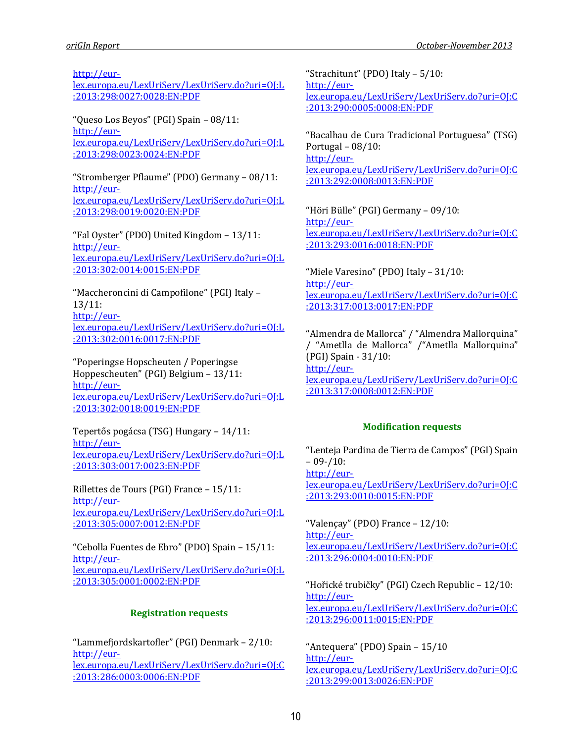[http://eur-](http://eur-lex.europa.eu/LexUriServ/LexUriServ.do?uri=OJ:L:2013:298:0027:0028:EN:PDF)

[lex.europa.eu/LexUriServ/LexUriServ.do?uri=OJ:L](http://eur-lex.europa.eu/LexUriServ/LexUriServ.do?uri=OJ:L:2013:298:0027:0028:EN:PDF) [:2013:298:0027:0028:EN:PDF](http://eur-lex.europa.eu/LexUriServ/LexUriServ.do?uri=OJ:L:2013:298:0027:0028:EN:PDF)

"Queso Los Beyos" (PGI) Spain – 08/11: [http://eur](http://eur-lex.europa.eu/LexUriServ/LexUriServ.do?uri=OJ:L:2013:298:0023:0024:EN:PDF)[lex.europa.eu/LexUriServ/LexUriServ.do?uri=OJ:L](http://eur-lex.europa.eu/LexUriServ/LexUriServ.do?uri=OJ:L:2013:298:0023:0024:EN:PDF) [:2013:298:0023:0024:EN:PDF](http://eur-lex.europa.eu/LexUriServ/LexUriServ.do?uri=OJ:L:2013:298:0023:0024:EN:PDF)

"Stromberger Pflaume" (PDO) Germany – 08/11: [http://eur](http://eur-lex.europa.eu/LexUriServ/LexUriServ.do?uri=OJ:L:2013:298:0019:0020:EN:PDF)[lex.europa.eu/LexUriServ/LexUriServ.do?uri=OJ:L](http://eur-lex.europa.eu/LexUriServ/LexUriServ.do?uri=OJ:L:2013:298:0019:0020:EN:PDF) [:2013:298:0019:0020:EN:PDF](http://eur-lex.europa.eu/LexUriServ/LexUriServ.do?uri=OJ:L:2013:298:0019:0020:EN:PDF)

"Fal Oyster" (PDO) United Kingdom – 13/11: [http://eur](http://eur-lex.europa.eu/LexUriServ/LexUriServ.do?uri=OJ:L:2013:302:0014:0015:EN:PDF)[lex.europa.eu/LexUriServ/LexUriServ.do?uri=OJ:L](http://eur-lex.europa.eu/LexUriServ/LexUriServ.do?uri=OJ:L:2013:302:0014:0015:EN:PDF) [:2013:302:0014:0015:EN:PDF](http://eur-lex.europa.eu/LexUriServ/LexUriServ.do?uri=OJ:L:2013:302:0014:0015:EN:PDF)

"Maccheroncini di Campofilone" (PGI) Italy – 13/11: [http://eur](http://eur-lex.europa.eu/LexUriServ/LexUriServ.do?uri=OJ:L:2013:302:0016:0017:EN:PDF)[lex.europa.eu/LexUriServ/LexUriServ.do?uri=OJ:L](http://eur-lex.europa.eu/LexUriServ/LexUriServ.do?uri=OJ:L:2013:302:0016:0017:EN:PDF) [:2013:302:0016:0017:EN:PDF](http://eur-lex.europa.eu/LexUriServ/LexUriServ.do?uri=OJ:L:2013:302:0016:0017:EN:PDF)

"Poperingse Hopscheuten / Poperingse Hoppescheuten" (PGI) Belgium – 13/11: [http://eur](http://eur-lex.europa.eu/LexUriServ/LexUriServ.do?uri=OJ:L:2013:302:0018:0019:EN:PDF)[lex.europa.eu/LexUriServ/LexUriServ.do?uri=OJ:L](http://eur-lex.europa.eu/LexUriServ/LexUriServ.do?uri=OJ:L:2013:302:0018:0019:EN:PDF) [:2013:302:0018:0019:EN:PDF](http://eur-lex.europa.eu/LexUriServ/LexUriServ.do?uri=OJ:L:2013:302:0018:0019:EN:PDF)

Tepertős pogácsa (TSG) Hungary – 14/11: [http://eur](http://eur-lex.europa.eu/LexUriServ/LexUriServ.do?uri=OJ:L:2013:303:0017:0023:EN:PDF)[lex.europa.eu/LexUriServ/LexUriServ.do?uri=OJ:L](http://eur-lex.europa.eu/LexUriServ/LexUriServ.do?uri=OJ:L:2013:303:0017:0023:EN:PDF) [:2013:303:0017:0023:EN:PDF](http://eur-lex.europa.eu/LexUriServ/LexUriServ.do?uri=OJ:L:2013:303:0017:0023:EN:PDF)

Rillettes de Tours (PGI) France – 15/11: [http://eur](http://eur-lex.europa.eu/LexUriServ/LexUriServ.do?uri=OJ:L:2013:305:0007:0012:EN:PDF)[lex.europa.eu/LexUriServ/LexUriServ.do?uri=OJ:L](http://eur-lex.europa.eu/LexUriServ/LexUriServ.do?uri=OJ:L:2013:305:0007:0012:EN:PDF) [:2013:305:0007:0012:EN:PDF](http://eur-lex.europa.eu/LexUriServ/LexUriServ.do?uri=OJ:L:2013:305:0007:0012:EN:PDF)

"Cebolla Fuentes de Ebro" (PDO) Spain – 15/11: [http://eur](http://eur-lex.europa.eu/LexUriServ/LexUriServ.do?uri=OJ:L:2013:305:0001:0002:EN:PDF)[lex.europa.eu/LexUriServ/LexUriServ.do?uri=OJ:L](http://eur-lex.europa.eu/LexUriServ/LexUriServ.do?uri=OJ:L:2013:305:0001:0002:EN:PDF) [:2013:305:0001:0002:EN:PDF](http://eur-lex.europa.eu/LexUriServ/LexUriServ.do?uri=OJ:L:2013:305:0001:0002:EN:PDF)

### **Registration requests**

"Lammefjordskartofler" (PGI) Denmark – 2/10: [http://eur](http://eur-lex.europa.eu/LexUriServ/LexUriServ.do?uri=OJ:C:2013:286:0003:0006:EN:PDF)[lex.europa.eu/LexUriServ/LexUriServ.do?uri=OJ:C](http://eur-lex.europa.eu/LexUriServ/LexUriServ.do?uri=OJ:C:2013:286:0003:0006:EN:PDF) [:2013:286:0003:0006:EN:PDF](http://eur-lex.europa.eu/LexUriServ/LexUriServ.do?uri=OJ:C:2013:286:0003:0006:EN:PDF)

"Strachitunt" (PDO) Italy – 5/10: [http://eur](http://eur-lex.europa.eu/LexUriServ/LexUriServ.do?uri=OJ:C:2013:290:0005:0008:EN:PDF)[lex.europa.eu/LexUriServ/LexUriServ.do?uri=OJ:C](http://eur-lex.europa.eu/LexUriServ/LexUriServ.do?uri=OJ:C:2013:290:0005:0008:EN:PDF) [:2013:290:0005:0008:EN:PDF](http://eur-lex.europa.eu/LexUriServ/LexUriServ.do?uri=OJ:C:2013:290:0005:0008:EN:PDF)

"Bacalhau de Cura Tradicional Portuguesa" (TSG) Portugal – 08/10: [http://eur](http://eur-lex.europa.eu/LexUriServ/LexUriServ.do?uri=OJ:C:2013:292:0008:0013:EN:PDF)[lex.europa.eu/LexUriServ/LexUriServ.do?uri=OJ:C](http://eur-lex.europa.eu/LexUriServ/LexUriServ.do?uri=OJ:C:2013:292:0008:0013:EN:PDF) [:2013:292:0008:0013:EN:PDF](http://eur-lex.europa.eu/LexUriServ/LexUriServ.do?uri=OJ:C:2013:292:0008:0013:EN:PDF)

"Höri Bülle" (PGI) Germany – 09/10: [http://eur](http://eur-lex.europa.eu/LexUriServ/LexUriServ.do?uri=OJ:C:2013:293:0016:0018:EN:PDF)[lex.europa.eu/LexUriServ/LexUriServ.do?uri=OJ:C](http://eur-lex.europa.eu/LexUriServ/LexUriServ.do?uri=OJ:C:2013:293:0016:0018:EN:PDF) [:2013:293:0016:0018:EN:PDF](http://eur-lex.europa.eu/LexUriServ/LexUriServ.do?uri=OJ:C:2013:293:0016:0018:EN:PDF)

"Miele Varesino" (PDO) Italy – 31/10: [http://eur](http://eur-lex.europa.eu/LexUriServ/LexUriServ.do?uri=OJ:C:2013:317:0013:0017:EN:PDF)[lex.europa.eu/LexUriServ/LexUriServ.do?uri=OJ:C](http://eur-lex.europa.eu/LexUriServ/LexUriServ.do?uri=OJ:C:2013:317:0013:0017:EN:PDF) [:2013:317:0013:0017:EN:PDF](http://eur-lex.europa.eu/LexUriServ/LexUriServ.do?uri=OJ:C:2013:317:0013:0017:EN:PDF)

"Almendra de Mallorca" / "Almendra Mallorquina" / "Ametlla de Mallorca" /"Ametlla Mallorquina" (PGI) Spain - 31/10: [http://eur](http://eur-lex.europa.eu/LexUriServ/LexUriServ.do?uri=OJ:C:2013:317:0008:0012:EN:PDF)[lex.europa.eu/LexUriServ/LexUriServ.do?uri=OJ:C](http://eur-lex.europa.eu/LexUriServ/LexUriServ.do?uri=OJ:C:2013:317:0008:0012:EN:PDF) [:2013:317:0008:0012:EN:PDF](http://eur-lex.europa.eu/LexUriServ/LexUriServ.do?uri=OJ:C:2013:317:0008:0012:EN:PDF)

### **Modification requests**

"Lenteja Pardina de Tierra de Campos" (PGI) Spain  $-09 - 10$ : [http://eur](http://eur-lex.europa.eu/LexUriServ/LexUriServ.do?uri=OJ:C:2013:293:0010:0015:EN:PDF)[lex.europa.eu/LexUriServ/LexUriServ.do?uri=OJ:C](http://eur-lex.europa.eu/LexUriServ/LexUriServ.do?uri=OJ:C:2013:293:0010:0015:EN:PDF) [:2013:293:0010:0015:EN:PDF](http://eur-lex.europa.eu/LexUriServ/LexUriServ.do?uri=OJ:C:2013:293:0010:0015:EN:PDF)

"Valençay" (PDO) France – 12/10: [http://eur](http://eur-lex.europa.eu/LexUriServ/LexUriServ.do?uri=OJ:C:2013:296:0004:0010:EN:PDF)[lex.europa.eu/LexUriServ/LexUriServ.do?uri=OJ:C](http://eur-lex.europa.eu/LexUriServ/LexUriServ.do?uri=OJ:C:2013:296:0004:0010:EN:PDF) [:2013:296:0004:0010:EN:PDF](http://eur-lex.europa.eu/LexUriServ/LexUriServ.do?uri=OJ:C:2013:296:0004:0010:EN:PDF)

"Hořické trubičky" (PGI) Czech Republic – 12/10: [http://eur](http://eur-lex.europa.eu/LexUriServ/LexUriServ.do?uri=OJ:C:2013:296:0011:0015:EN:PDF)[lex.europa.eu/LexUriServ/LexUriServ.do?uri=OJ:C](http://eur-lex.europa.eu/LexUriServ/LexUriServ.do?uri=OJ:C:2013:296:0011:0015:EN:PDF) [:2013:296:0011:0015:EN:PDF](http://eur-lex.europa.eu/LexUriServ/LexUriServ.do?uri=OJ:C:2013:296:0011:0015:EN:PDF)

"Antequera" (PDO) Spain – 15/10 [http://eur](http://eur-lex.europa.eu/LexUriServ/LexUriServ.do?uri=OJ:C:2013:299:0013:0026:EN:PDF)[lex.europa.eu/LexUriServ/LexUriServ.do?uri=OJ:C](http://eur-lex.europa.eu/LexUriServ/LexUriServ.do?uri=OJ:C:2013:299:0013:0026:EN:PDF) [:2013:299:0013:0026:EN:PDF](http://eur-lex.europa.eu/LexUriServ/LexUriServ.do?uri=OJ:C:2013:299:0013:0026:EN:PDF)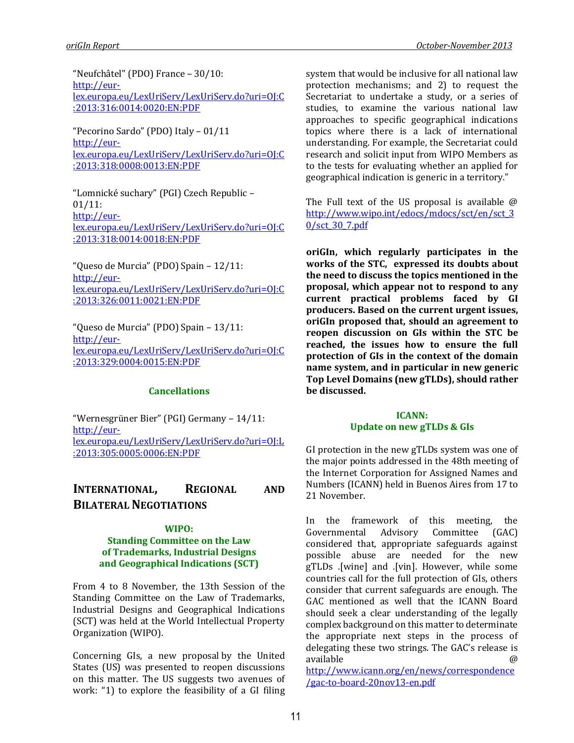"Neufchâtel" (PDO) France – 30/10: [http://eur](http://eur-lex.europa.eu/LexUriServ/LexUriServ.do?uri=OJ:C:2013:316:0014:0020:EN:PDF)[lex.europa.eu/LexUriServ/LexUriServ.do?uri=OJ:C](http://eur-lex.europa.eu/LexUriServ/LexUriServ.do?uri=OJ:C:2013:316:0014:0020:EN:PDF) [:2013:316:0014:0020:EN:PDF](http://eur-lex.europa.eu/LexUriServ/LexUriServ.do?uri=OJ:C:2013:316:0014:0020:EN:PDF)

"Pecorino Sardo" (PDO) Italy – 01/11 [http://eur](http://eur-lex.europa.eu/LexUriServ/LexUriServ.do?uri=OJ:C:2013:318:0008:0013:EN:PDF)[lex.europa.eu/LexUriServ/LexUriServ.do?uri=OJ:C](http://eur-lex.europa.eu/LexUriServ/LexUriServ.do?uri=OJ:C:2013:318:0008:0013:EN:PDF) [:2013:318:0008:0013:EN:PDF](http://eur-lex.europa.eu/LexUriServ/LexUriServ.do?uri=OJ:C:2013:318:0008:0013:EN:PDF)

"Lomnické suchary" (PGI) Czech Republic – 01/11: [http://eur](http://eur-lex.europa.eu/LexUriServ/LexUriServ.do?uri=OJ:C:2013:318:0014:0018:EN:PDF)[lex.europa.eu/LexUriServ/LexUriServ.do?uri=OJ:C](http://eur-lex.europa.eu/LexUriServ/LexUriServ.do?uri=OJ:C:2013:318:0014:0018:EN:PDF) [:2013:318:0014:0018:EN:PDF](http://eur-lex.europa.eu/LexUriServ/LexUriServ.do?uri=OJ:C:2013:318:0014:0018:EN:PDF)

"Queso de Murcia" (PDO) Spain – 12/11: [http://eur](http://eur-lex.europa.eu/LexUriServ/LexUriServ.do?uri=OJ:C:2013:326:0011:0021:EN:PDF)[lex.europa.eu/LexUriServ/LexUriServ.do?uri=OJ:C](http://eur-lex.europa.eu/LexUriServ/LexUriServ.do?uri=OJ:C:2013:326:0011:0021:EN:PDF) [:2013:326:0011:0021:EN:PDF](http://eur-lex.europa.eu/LexUriServ/LexUriServ.do?uri=OJ:C:2013:326:0011:0021:EN:PDF)

"Queso de Murcia" (PDO) Spain – 13/11: [http://eur](http://eur-lex.europa.eu/LexUriServ/LexUriServ.do?uri=OJ:C:2013:329:0004:0015:EN:PDF)[lex.europa.eu/LexUriServ/LexUriServ.do?uri=OJ:C](http://eur-lex.europa.eu/LexUriServ/LexUriServ.do?uri=OJ:C:2013:329:0004:0015:EN:PDF) [:2013:329:0004:0015:EN:PDF](http://eur-lex.europa.eu/LexUriServ/LexUriServ.do?uri=OJ:C:2013:329:0004:0015:EN:PDF)

#### **Cancellations**

"Wernesgrüner Bier" (PGI) Germany – 14/11: [http://eur](http://eur-lex.europa.eu/LexUriServ/LexUriServ.do?uri=OJ:L:2013:305:0005:0006:EN:PDF)[lex.europa.eu/LexUriServ/LexUriServ.do?uri=OJ:L](http://eur-lex.europa.eu/LexUriServ/LexUriServ.do?uri=OJ:L:2013:305:0005:0006:EN:PDF) [:2013:305:0005:0006:EN:PDF](http://eur-lex.europa.eu/LexUriServ/LexUriServ.do?uri=OJ:L:2013:305:0005:0006:EN:PDF)

# **INTERNATIONAL, REGIONAL AND BILATERAL NEGOTIATIONS**

### **WIPO:**

#### **Standing Committee on the Law of Trademarks, Industrial Designs and Geographical Indications (SCT)**

From 4 to 8 November, the 13th Session of the Standing Committee on the Law of Trademarks, Industrial Designs and Geographical Indications (SCT) was held at the World Intellectual Property Organization (WIPO).

Concerning GIs, [a](http://www.wipo.int/edocs/mdocs/sct/en/sct_30/sct_30_7.pdf) new proposal by the United States (US) was presented to reopen discussions on this matter. The US suggests two avenues of work: "1) to explore the feasibility of a GI filing system that would be inclusive for all national law protection mechanisms; and 2) to request the Secretariat to undertake a study, or a series of studies, to examine the various national law approaches to specific geographical indications topics where there is a lack of international understanding. For example, the Secretariat could research and solicit input from WIPO Members as to the tests for evaluating whether an applied for geographical indication is generic in a territory."

The Full text of the US proposal is available @ [http://www.wipo.int/edocs/mdocs/sct/en/sct\\_3](http://www.wipo.int/edocs/mdocs/sct/en/sct_30/sct_30_7.pdf) [0/sct\\_30\\_7.pdf](http://www.wipo.int/edocs/mdocs/sct/en/sct_30/sct_30_7.pdf)

**oriGIn, which regularly participates in the works of the STC, expressed its doubts about the need to discuss the topics mentioned in the proposal, which appear not to respond to any current practical problems faced by GI producers. Based on the current urgent issues, oriGIn proposed that, should an agreement to reopen discussion on GIs within the STC be reached, the issues how to ensure the full protection of GIs in the context of the domain name system, and in particular in new generic Top Level Domains (new gTLDs), should rather be discussed.**

### **ICANN: Update on new gTLDs & GIs**

GI protection in the new gTLDs system was one of the major points addressed in the 48th meeting of the Internet Corporation for Assigned Names and Numbers (ICANN) held in Buenos Aires from 17 to 21 November.

In the framework of this meeting, the Governmental Advisory Committee (GAC) considered that, appropriate safeguards against possible abuse are needed for the new gTLDs .[wine] and .[vin]. However, while some countries call for the full protection of GIs, others consider that current safeguards are enough. The GAC mentioned as well that the ICANN Board should seek a clear understanding of the legally complex background on this matter to determinate the appropriate next steps in the process of delegating these two strings. The GAC's release is available @

[http://www.icann.org/en/news/correspondence](http://www.icann.org/en/news/correspondence/gac-to-board-20nov13-en.pdf) [/gac-to-board-20nov13-en.pdf](http://www.icann.org/en/news/correspondence/gac-to-board-20nov13-en.pdf)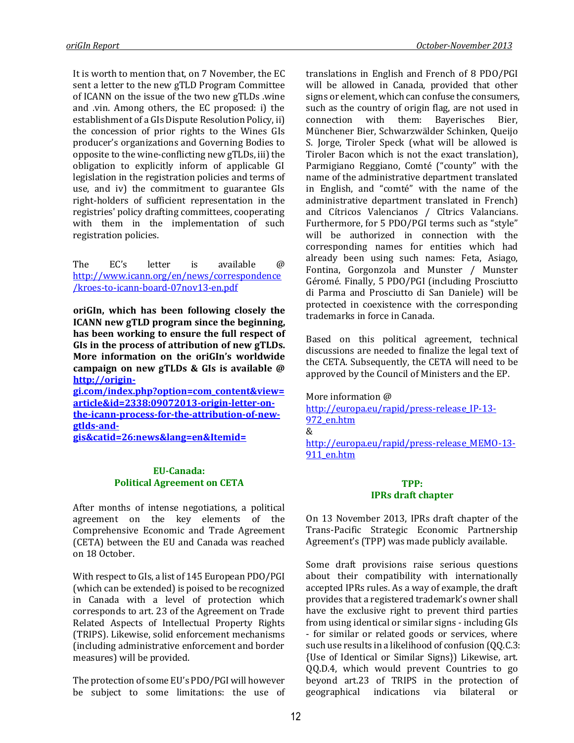It is worth to mention that, on 7 November, the EC sent a letter to the new gTLD Program Committee of ICANN on the issue of the two new gTLDs .wine and .vin. Among others, the EC proposed: i) the establishment of a GIs Dispute Resolution Policy, ii) the concession of prior rights to the Wines GIs producer's organizations and Governing Bodies to opposite to the wine-conflicting new gTLDs, iii) the obligation to explicitly inform of applicable GI legislation in the registration policies and terms of use, and iv) the commitment to guarantee GIs right-holders of sufficient representation in the registries' policy drafting committees, cooperating with them in the implementation of such registration policies.

The EC's letter is available @ [http://www.icann.org/en/news/correspondence](http://www.icann.org/en/news/correspondence/kroes-to-icann-board-07nov13-en.pdf) [/kroes-to-icann-board-07nov13-en.pdf](http://www.icann.org/en/news/correspondence/kroes-to-icann-board-07nov13-en.pdf)

**oriGIn, which has been following closely the ICANN new gTLD program since the beginning, has been working to ensure the full respect of GIs in the process of attribution of new gTLDs. More information on the oriGIn's worldwide campaign on new gTLDs & GIs is available @ [http://origin-](http://origin-gi.com/index.php?option=com_content&view=article&id=2338:09072013-origin-letter-on-the-icann-process-for-the-attribution-of-new-gtlds-and-gis&catid=26:news&lang=en&Itemid=)**

**[gi.com/index.php?option=com\\_content&view=](http://origin-gi.com/index.php?option=com_content&view=article&id=2338:09072013-origin-letter-on-the-icann-process-for-the-attribution-of-new-gtlds-and-gis&catid=26:news&lang=en&Itemid=) [article&id=2338:09072013-origin-letter-on](http://origin-gi.com/index.php?option=com_content&view=article&id=2338:09072013-origin-letter-on-the-icann-process-for-the-attribution-of-new-gtlds-and-gis&catid=26:news&lang=en&Itemid=)[the-icann-process-for-the-attribution-of-new](http://origin-gi.com/index.php?option=com_content&view=article&id=2338:09072013-origin-letter-on-the-icann-process-for-the-attribution-of-new-gtlds-and-gis&catid=26:news&lang=en&Itemid=)[gtlds-and](http://origin-gi.com/index.php?option=com_content&view=article&id=2338:09072013-origin-letter-on-the-icann-process-for-the-attribution-of-new-gtlds-and-gis&catid=26:news&lang=en&Itemid=)[gis&catid=26:news&lang=en&Itemid=](http://origin-gi.com/index.php?option=com_content&view=article&id=2338:09072013-origin-letter-on-the-icann-process-for-the-attribution-of-new-gtlds-and-gis&catid=26:news&lang=en&Itemid=)**

#### **EU-Canada: Political Agreement on CETA**

After months of intense negotiations, a political agreement on the key elements of the Comprehensive Economic and Trade Agreement (CETA) between the EU and Canada was reached on 18 October.

With respect to GIs, a list of 145 European PDO/PGI (which can be extended) is poised to be recognized in Canada with a level of protection which corresponds to art. 23 of the Agreement on Trade Related Aspects of Intellectual Property Rights (TRIPS). Likewise, solid enforcement mechanisms (including administrative enforcement and border measures) will be provided.

The protection of some EU's PDO/PGI will however be subject to some limitations: the use of translations in English and French of 8 PDO/PGI will be allowed in Canada, provided that other signs or element, which can confuse the consumers, such as the country of origin flag, are not used in connection with them: Bayerisches Bier, Münchener Bier, Schwarzwälder Schinken, Queijo S. Jorge, Tiroler Speck (what will be allowed is Tiroler Bacon which is not the exact translation), Parmigiano Reggiano, Comté ("county" with the name of the administrative department translated in English, and "comté" with the name of the administrative department translated in French) and Cítricos Valencianos / Cîtrics Valancians. Furthermore, for 5 PDO/PGI terms such as "style" will be authorized in connection with the corresponding names for entities which had already been using such names: Feta, Asiago, Fontina, Gorgonzola and Munster / Munster Géromé. Finally, 5 PDO/PGI (including Prosciutto di Parma and Prosciutto di San Daniele) will be protected in coexistence with the corresponding trademarks in force in Canada.

Based on this political agreement, technical discussions are needed to finalize the legal text of the CETA. Subsequently, the CETA will need to be approved by the Council of Ministers and the EP.

More information @ [http://europa.eu/rapid/press-release\\_IP-13-](http://europa.eu/rapid/press-release_IP-13-972_en.htm) [972\\_en.htm](http://europa.eu/rapid/press-release_IP-13-972_en.htm) & [http://europa.eu/rapid/press-release\\_MEMO-13-](http://europa.eu/rapid/press-release_MEMO-13-911_en.htm) [911\\_en.htm](http://europa.eu/rapid/press-release_MEMO-13-911_en.htm)

#### **TPP:**

#### **IPRs draft chapter**

On 13 November 2013, IPRs draft chapter of the Trans-Pacific Strategic Economic Partnership Agreement's (TPP) was made publicly available.

Some draft provisions raise serious questions about their compatibility with internationally accepted IPRs rules. As a way of example, the draft provides that a registered trademark's owner shall have the exclusive right to prevent third parties from using identical or similar signs - including GIs - for similar or related goods or services, where such use results in a likelihood of confusion (QQ.C.3: {Use of Identical or Similar Signs}) Likewise, art. QQ.D.4, which would prevent Countries to go beyond art.23 of TRIPS in the protection of geographical indications via bilateral or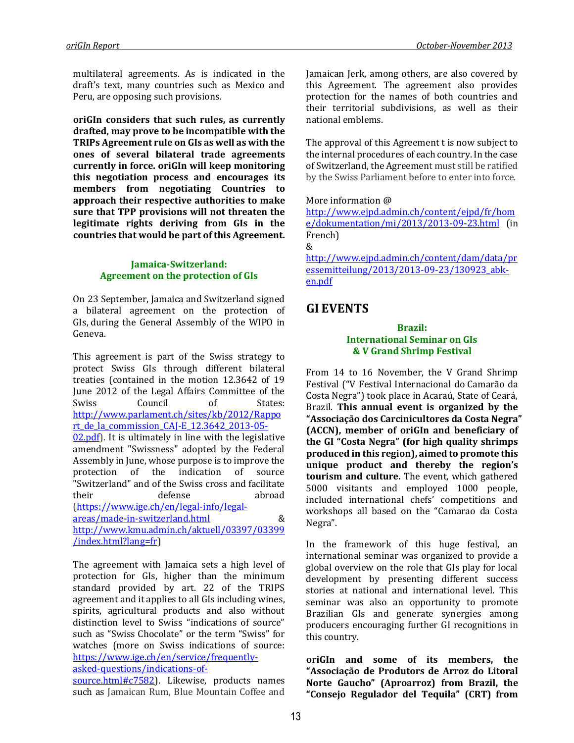multilateral agreements. As is indicated in the draft's text, many countries such as Mexico and Peru, are opposing such provisions.

**oriGIn considers that such rules, as currently drafted, may prove to be incompatible with the TRIPs Agreement rule on GIs as well as with the ones of several bilateral trade agreements currently in force. oriGIn will keep monitoring this negotiation process and encourages its members from negotiating Countries to approach their respective authorities to make sure that TPP provisions will not threaten the legitimate rights deriving from GIs in the countries that would be part of this Agreement.**

#### **Jamaica-Switzerland: Agreement on the protection of GIs**

On 23 September, Jamaica and Switzerland signed a bilateral agreement on the protection of GIs, during the General Assembly of the WIPO in Geneva.

This agreement is part of the Swiss strategy to protect Swiss GIs through different bilateral treaties (contained in the motion 12.3642 of 19 June 2012 of the Legal Affairs Committee of the Swiss Council of States: [http://www.parlament.ch/sites/kb/2012/Rappo](http://www.parlament.ch/sites/kb/2012/Rapport_de_la_commission_CAJ-E_12.3642_2013-05-02.pdf) [rt\\_de\\_la\\_commission\\_CAJ-E\\_12.3642\\_2013-05-](http://www.parlament.ch/sites/kb/2012/Rapport_de_la_commission_CAJ-E_12.3642_2013-05-02.pdf) [02.pdf\)](http://www.parlament.ch/sites/kb/2012/Rapport_de_la_commission_CAJ-E_12.3642_2013-05-02.pdf). It is ultimately in line with the legislative amendment "Swissness" adopted by the Federal Assembly in June, whose purpose is to improve the protection of the indication of source "Switzerland" and of the Swiss cross and facilitate their defense abroad [\(https://www.ige.ch/en/legal-info/legal](https://www.ige.ch/en/legal-info/legal-areas/made-in-switzerland.html)[areas/made-in-switzerland.html](https://www.ige.ch/en/legal-info/legal-areas/made-in-switzerland.html) &

[http://www.kmu.admin.ch/aktuell/03397/03399](http://www.kmu.admin.ch/aktuell/03397/03399/index.html?lang=fr) [/index.html?lang=fr\)](http://www.kmu.admin.ch/aktuell/03397/03399/index.html?lang=fr)

The agreement with Jamaica sets a high level of protection for GIs, higher than the minimum standard provided by art. 22 of the TRIPS agreement and it applies to all GIs including wines, spirits, agricultural products and also without distinction level to Swiss "indications of source" such as "Swiss Chocolate" or the term "Swiss" for watches (more on Swiss indications of source: [https://www.ige.ch/en/service/frequently](https://www.ige.ch/en/service/frequently-asked-questions/indications-of-source.html#c7582)[asked-questions/indications-of-](https://www.ige.ch/en/service/frequently-asked-questions/indications-of-source.html#c7582)

[source.html#c7582\)](https://www.ige.ch/en/service/frequently-asked-questions/indications-of-source.html#c7582). Likewise, products names

such as Jamaican Rum, Blue Mountain Coffee and

Jamaican Jerk, among others, are also covered by this Agreement. The agreement also provides protection for the names of both countries and their territorial subdivisions, as well as their national emblems.

The approval of this Agreement t is now subject to the internal procedures of each country. In the case of Switzerland, the Agreement must still be ratified by the Swiss Parliament before to enter into force.

#### More information @

[http://www.ejpd.admin.ch/content/ejpd/fr/hom](http://www.ejpd.admin.ch/content/ejpd/fr/home/dokumentation/mi/2013/2013-09-23.html) [e/dokumentation/mi/2013/2013-09-23.html](http://www.ejpd.admin.ch/content/ejpd/fr/home/dokumentation/mi/2013/2013-09-23.html) (in French)

[http://www.ejpd.admin.ch/content/dam/data/pr](http://www.ejpd.admin.ch/content/dam/data/pressemitteilung/2013/2013-09-23/130923_abk-en.pdf) [essemitteilung/2013/2013-09-23/130923\\_abk](http://www.ejpd.admin.ch/content/dam/data/pressemitteilung/2013/2013-09-23/130923_abk-en.pdf)[en.pdf](http://www.ejpd.admin.ch/content/dam/data/pressemitteilung/2013/2013-09-23/130923_abk-en.pdf)

# **GI EVENTS**

&

#### **Brazil: International Seminar on GIs & V Grand Shrimp Festival**

From 14 to 16 November, the V Grand Shrimp Festival ("V Festival Internacional do Camarão da Costa Negra") took place in Acaraú, State of Ceará, Brazil. **This annual event is organized by the "Associação dos Carcinicultores da Costa Negra" (ACCN), member of oriGIn and beneficiary of the GI "Costa Negra" (for high quality shrimps produced in this region), aimed to promote this unique product and thereby the region's tourism and culture.** The event, which gathered 5000 visitants and employed 1000 people, included international chefs' competitions and workshops all based on the "Camarao da Costa Negra".

In the framework of this huge festival, an international seminar was organized to provide a global overview on the role that GIs play for local development by presenting different success stories at national and international level. This seminar was also an opportunity to promote Brazilian GIs and generate synergies among producers encouraging further GI recognitions in this country.

**oriGIn and some of its members, the "Associação de Produtors de Arroz do Litoral Norte Gaucho" (Aproarroz) from Brazil, the "Consejo Regulador del Tequila" (CRT) from**